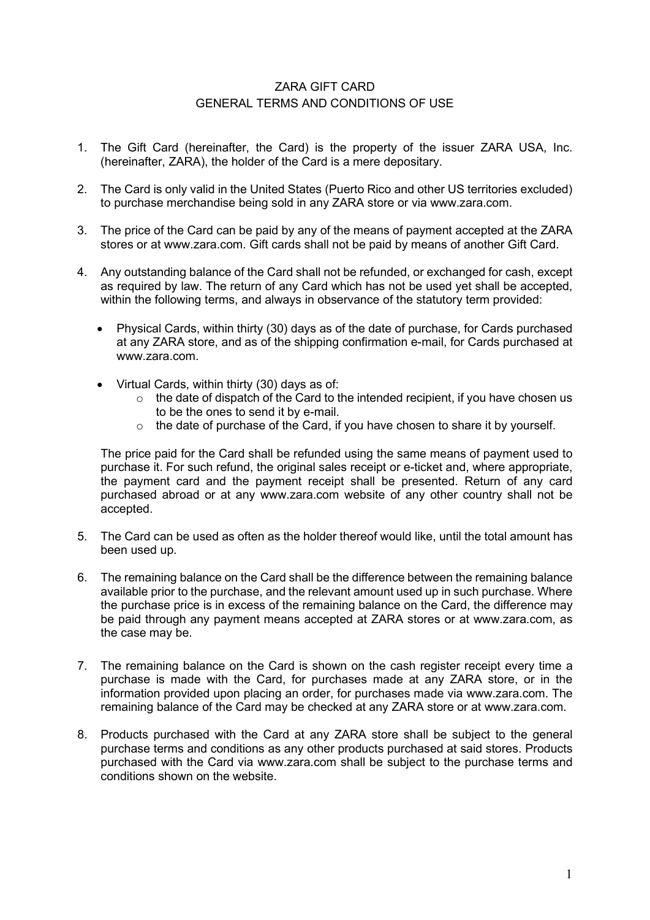## ZARA GIFT CARD GENERAL TERMS AND CONDITIONS OF USE

- 1. The Gift Card (hereinafter, the Card) is the property of the issuer ZARA USA, Inc. (hereinafter, ZARA), the holder of the Card is a mere depositary.
- 2. The Card is only valid in the United States (Puerto Rico and other US territories excluded) to purchase merchandise being sold in any ZARA store or via www.zara.com.
- 3. The price of the Card can be paid by any of the means of payment accepted at the ZARA stores or at www.zara.com. Gift cards shall not be paid by means of another Gift Card.
- 4. Any outstanding balance of the Card shall not be refunded, or exchanged for cash, except as required by law. The return of any Card which has not be used yet shall be accepted, within the following terms, and always in observance of the statutory term provided:
	- Physical Cards, within thirty (30) days as of the date of purchase, for Cards purchased at any ZARA store, and as of the shipping confirmation e-mail, for Cards purchased at www.zara.com.
	- Virtual Cards, within thirty (30) days as of:
		- $\circ$  the date of dispatch of the Card to the intended recipient, if you have chosen us to be the ones to send it by e-mail.
		- $\circ$  the date of purchase of the Card, if you have chosen to share it by yourself.

The price paid for the Card shall be refunded using the same means of payment used to purchase it. For such refund, the original sales receipt or e-ticket and, where appropriate, the payment card and the payment receipt shall be presented. Return of any card purchased abroad or at any www.zara.com website of any other country shall not be accepted.

- 5. The Card can be used as often as the holder thereof would like, until the total amount has been used up.
- 6. The remaining balance on the Card shall be the difference between the remaining balance available prior to the purchase, and the relevant amount used up in such purchase. Where the purchase price is in excess of the remaining balance on the Card, the difference may be paid through any payment means accepted at ZARA stores or at www.zara.com, as the case may be.
- 7. The remaining balance on the Card is shown on the cash register receipt every time a purchase is made with the Card, for purchases made at any ZARA store, or in the information provided upon placing an order, for purchases made via www.zara.com. The remaining balance of the Card may be checked at any ZARA store or at www.zara.com.
- 8. Products purchased with the Card at any ZARA store shall be subject to the general purchase terms and conditions as any other products purchased at said stores. Products purchased with the Card via www.zara.com shall be subject to the purchase terms and conditions shown on the website.